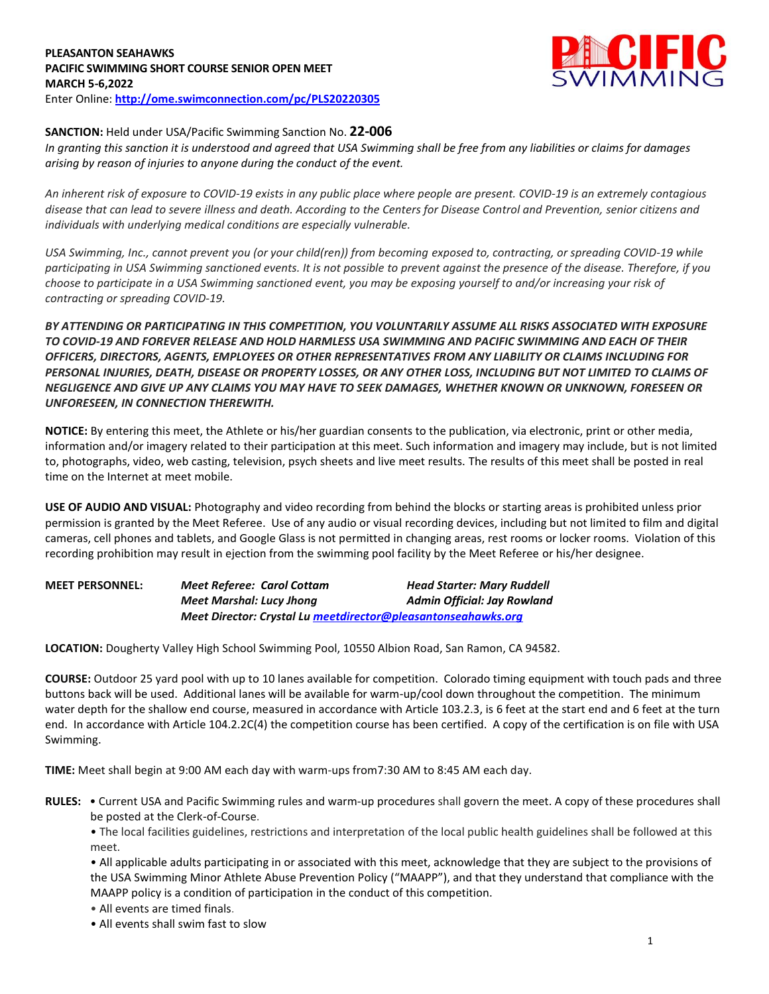# **PLEASANTON SEAHAWKS PACIFIC SWIMMING SHORT COURSE SENIOR OPEN MEET MARCH 5-6,2022** Enter Online: **<http://ome.swimconnection.com/pc/PLS20220305>**



# **SANCTION:** Held under USA/Pacific Swimming Sanction No. **22-006**

*In granting this sanction it is understood and agreed that USA Swimming shall be free from any liabilities or claims for damages arising by reason of injuries to anyone during the conduct of the event.* 

*An inherent risk of exposure to COVID-19 exists in any public place where people are present. COVID-19 is an extremely contagious disease that can lead to severe illness and death. According to the Centers for Disease Control and Prevention, senior citizens and individuals with underlying medical conditions are especially vulnerable.*

*USA Swimming, Inc., cannot prevent you (or your child(ren)) from becoming exposed to, contracting, or spreading COVID-19 while participating in USA Swimming sanctioned events. It is not possible to prevent against the presence of the disease. Therefore, if you choose to participate in a USA Swimming sanctioned event, you may be exposing yourself to and/or increasing your risk of contracting or spreading COVID-19.*

*BY ATTENDING OR PARTICIPATING IN THIS COMPETITION, YOU VOLUNTARILY ASSUME ALL RISKS ASSOCIATED WITH EXPOSURE TO COVID-19 AND FOREVER RELEASE AND HOLD HARMLESS USA SWIMMING AND PACIFIC SWIMMING AND EACH OF THEIR OFFICERS, DIRECTORS, AGENTS, EMPLOYEES OR OTHER REPRESENTATIVES FROM ANY LIABILITY OR CLAIMS INCLUDING FOR PERSONAL INJURIES, DEATH, DISEASE OR PROPERTY LOSSES, OR ANY OTHER LOSS, INCLUDING BUT NOT LIMITED TO CLAIMS OF NEGLIGENCE AND GIVE UP ANY CLAIMS YOU MAY HAVE TO SEEK DAMAGES, WHETHER KNOWN OR UNKNOWN, FORESEEN OR UNFORESEEN, IN CONNECTION THEREWITH.*

**NOTICE:** By entering this meet, the Athlete or his/her guardian consents to the publication, via electronic, print or other media, information and/or imagery related to their participation at this meet. Such information and imagery may include, but is not limited to, photographs, video, web casting, television, psych sheets and live meet results. The results of this meet shall be posted in real time on the Internet at meet mobile.

**USE OF AUDIO AND VISUAL:** Photography and video recording from behind the blocks or starting areas is prohibited unless prior permission is granted by the Meet Referee. Use of any audio or visual recording devices, including but not limited to film and digital cameras, cell phones and tablets, and Google Glass is not permitted in changing areas, rest rooms or locker rooms. Violation of this recording prohibition may result in ejection from the swimming pool facility by the Meet Referee or his/her designee.

**MEET PERSONNEL:** *Meet Referee: Carol Cottam Head Starter: Mary Ruddell Meet Marshal: Lucy Jhong Admin Official: Jay Rowland Meet Director: Crystal L[u meetdirector@pleasantonseahawks.org](mailto:meetdirector@pleasantonseahawks.org)*

**LOCATION:** Dougherty Valley High School Swimming Pool, 10550 Albion Road, San Ramon, CA 94582.

**COURSE:** Outdoor 25 yard pool with up to 10 lanes available for competition. Colorado timing equipment with touch pads and three buttons back will be used. Additional lanes will be available for warm-up/cool down throughout the competition. The minimum water depth for the shallow end course, measured in accordance with Article 103.2.3, is 6 feet at the start end and 6 feet at the turn end. In accordance with Article 104.2.2C(4) the competition course has been certified. A copy of the certification is on file with USA Swimming.

**TIME:** Meet shall begin at 9:00 AM each day with warm-ups from7:30 AM to 8:45 AM each day.

**RULES:** • Current USA and Pacific Swimming rules and warm-up procedures shall govern the meet. A copy of these procedures shall be posted at the Clerk-of-Course.

• The local facilities guidelines, restrictions and interpretation of the local public health guidelines shall be followed at this meet.

• All applicable adults participating in or associated with this meet, acknowledge that they are subject to the provisions of the USA Swimming Minor Athlete Abuse Prevention Policy ("MAAPP"), and that they understand that compliance with the MAAPP policy is a condition of participation in the conduct of this competition.

• All events are timed finals.

• All events shall swim fast to slow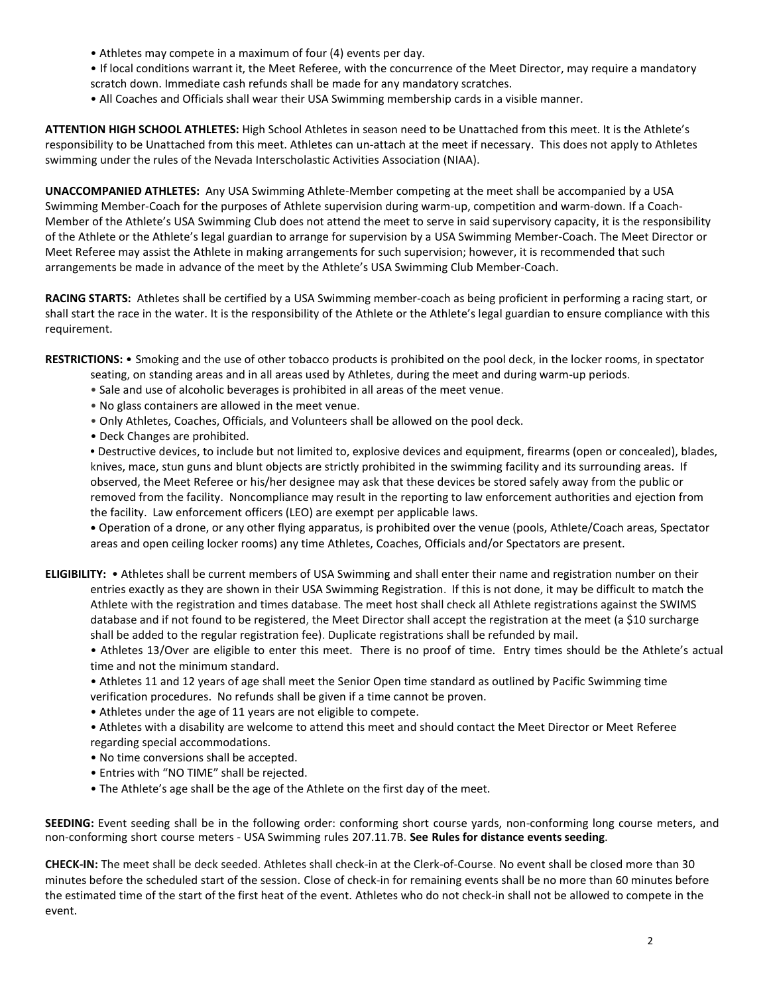- Athletes may compete in a maximum of four (4) events per day.
- If local conditions warrant it, the Meet Referee, with the concurrence of the Meet Director, may require a mandatory
- scratch down. Immediate cash refunds shall be made for any mandatory scratches.
- All Coaches and Officials shall wear their USA Swimming membership cards in a visible manner.

**ATTENTION HIGH SCHOOL ATHLETES:** High School Athletes in season need to be Unattached from this meet. It is the Athlete's responsibility to be Unattached from this meet. Athletes can un-attach at the meet if necessary. This does not apply to Athletes swimming under the rules of the Nevada Interscholastic Activities Association (NIAA).

**UNACCOMPANIED ATHLETES:** Any USA Swimming Athlete-Member competing at the meet shall be accompanied by a USA Swimming Member-Coach for the purposes of Athlete supervision during warm-up, competition and warm-down. If a Coach-Member of the Athlete's USA Swimming Club does not attend the meet to serve in said supervisory capacity, it is the responsibility of the Athlete or the Athlete's legal guardian to arrange for supervision by a USA Swimming Member-Coach. The Meet Director or Meet Referee may assist the Athlete in making arrangements for such supervision; however, it is recommended that such arrangements be made in advance of the meet by the Athlete's USA Swimming Club Member-Coach.

**RACING STARTS:** Athletes shall be certified by a USA Swimming member-coach as being proficient in performing a racing start, or shall start the race in the water. It is the responsibility of the Athlete or the Athlete's legal guardian to ensure compliance with this requirement.

**RESTRICTIONS:** • Smoking and the use of other tobacco products is prohibited on the pool deck, in the locker rooms, in spectator

- seating, on standing areas and in all areas used by Athletes, during the meet and during warm-up periods.
- Sale and use of alcoholic beverages is prohibited in all areas of the meet venue.
- No glass containers are allowed in the meet venue.
- Only Athletes, Coaches, Officials, and Volunteers shall be allowed on the pool deck.
- Deck Changes are prohibited.

**•** Destructive devices, to include but not limited to, explosive devices and equipment, firearms (open or concealed), blades, knives, mace, stun guns and blunt objects are strictly prohibited in the swimming facility and its surrounding areas. If observed, the Meet Referee or his/her designee may ask that these devices be stored safely away from the public or removed from the facility. Noncompliance may result in the reporting to law enforcement authorities and ejection from the facility. Law enforcement officers (LEO) are exempt per applicable laws.

**•** Operation of a drone, or any other flying apparatus, is prohibited over the venue (pools, Athlete/Coach areas, Spectator areas and open ceiling locker rooms) any time Athletes, Coaches, Officials and/or Spectators are present.

**ELIGIBILITY:** • Athletes shall be current members of USA Swimming and shall enter their name and registration number on their entries exactly as they are shown in their USA Swimming Registration. If this is not done, it may be difficult to match the Athlete with the registration and times database. The meet host shall check all Athlete registrations against the SWIMS database and if not found to be registered, the Meet Director shall accept the registration at the meet (a \$10 surcharge shall be added to the regular registration fee). Duplicate registrations shall be refunded by mail.

• Athletes 13/Over are eligible to enter this meet. There is no proof of time. Entry times should be the Athlete's actual time and not the minimum standard.

• Athletes 11 and 12 years of age shall meet the Senior Open time standard as outlined by Pacific Swimming time verification procedures. No refunds shall be given if a time cannot be proven.

- Athletes under the age of 11 years are not eligible to compete.
- Athletes with a disability are welcome to attend this meet and should contact the Meet Director or Meet Referee regarding special accommodations.
- No time conversions shall be accepted.
- Entries with "NO TIME" shall be rejected.
- The Athlete's age shall be the age of the Athlete on the first day of the meet.

**SEEDING:** Event seeding shall be in the following order: conforming short course yards, non-conforming long course meters, and non-conforming short course meters - USA Swimming rules 207.11.7B. **See Rules for distance events seeding**.

**CHECK-IN:** The meet shall be deck seeded. Athletes shall check-in at the Clerk-of-Course. No event shall be closed more than 30 minutes before the scheduled start of the session. Close of check‐in for remaining events shall be no more than 60 minutes before the estimated time of the start of the first heat of the event. Athletes who do not check-in shall not be allowed to compete in the event.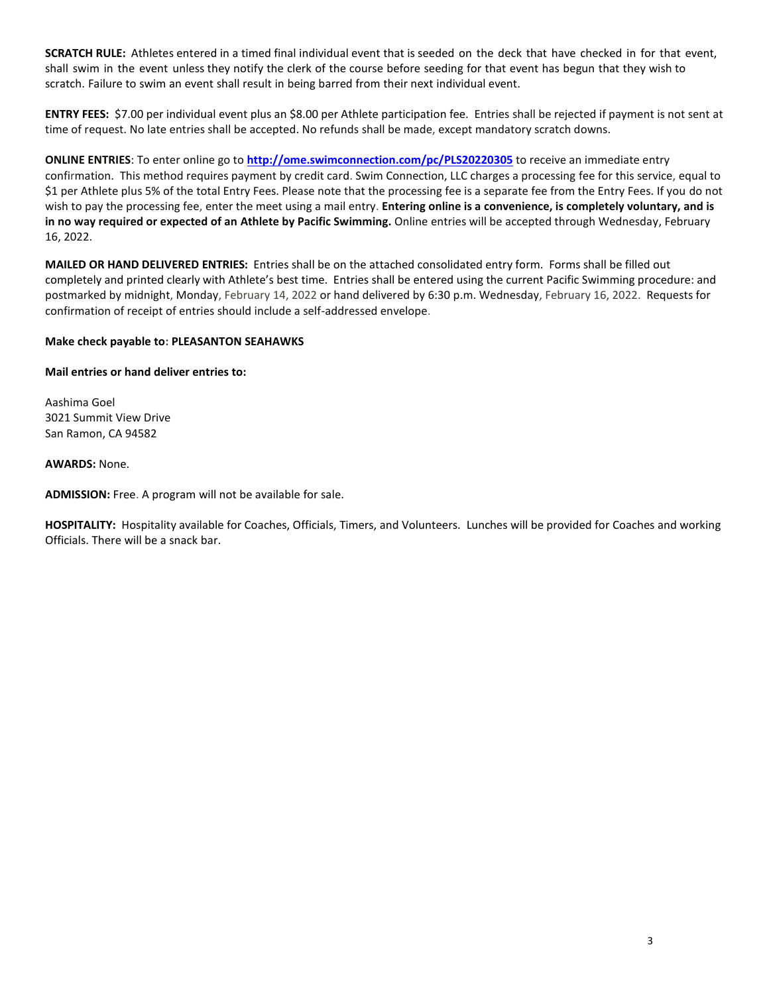**SCRATCH RULE:** Athletes entered in a timed final individual event that is seeded on the deck that have checked in for that event, shall swim in the event unless they notify the clerk of the course before seeding for that event has begun that they wish to scratch. Failure to swim an event shall result in being barred from their next individual event.

**ENTRY FEES:** \$7.00 per individual event plus an \$8.00 per Athlete participation fee. Entries shall be rejected if payment is not sent at time of request. No late entries shall be accepted. No refunds shall be made, except mandatory scratch downs.

**ONLINE ENTRIES**: To enter online go to **<http://ome.swimconnection.com/pc/PLS20220305>** to receive an immediate entry confirmation. This method requires payment by credit card. Swim Connection, LLC charges a processing fee for this service, equal to \$1 per Athlete plus 5% of the total Entry Fees. Please note that the processing fee is a separate fee from the Entry Fees. If you do not wish to pay the processing fee, enter the meet using a mail entry. **Entering online is a convenience, is completely voluntary, and is in no way required or expected of an Athlete by Pacific Swimming.** Online entries will be accepted through Wednesday, February 16, 2022.

**MAILED OR HAND DELIVERED ENTRIES:** Entries shall be on the attached consolidated entry form. Forms shall be filled out completely and printed clearly with Athlete's best time. Entries shall be entered using the current Pacific Swimming procedure: and postmarked by midnight, Monday, February 14, 2022 or hand delivered by 6:30 p.m. Wednesday, February 16, 2022. Requests for confirmation of receipt of entries should include a self-addressed envelope.

## **Make check payable to: PLEASANTON SEAHAWKS**

**Mail entries or hand deliver entries to:**

Aashima Goel 3021 Summit View Drive San Ramon, CA 94582

### **AWARDS:** None.

**ADMISSION:** Free. A program will not be available for sale.

**HOSPITALITY:** Hospitality available for Coaches, Officials, Timers, and Volunteers. Lunches will be provided for Coaches and working Officials. There will be a snack bar.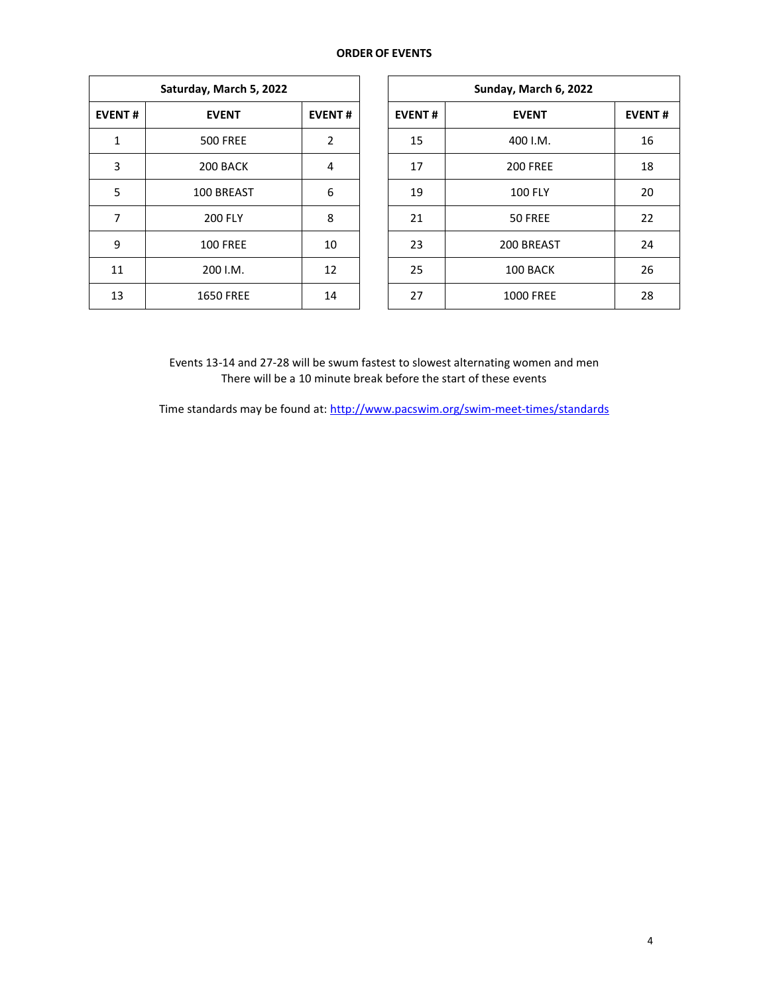#### **ORDER OF EVENTS**

| Saturday, March 5, 2022 |                  |               |  |  |  |  |  |  |
|-------------------------|------------------|---------------|--|--|--|--|--|--|
| <b>EVENT#</b>           | <b>EVENT</b>     | <b>EVENT#</b> |  |  |  |  |  |  |
| 1                       | <b>500 FREE</b>  | 2             |  |  |  |  |  |  |
| 3                       | 200 BACK         | 4             |  |  |  |  |  |  |
| 5                       | 100 BREAST       | 6             |  |  |  |  |  |  |
| 7                       | <b>200 FLY</b>   | 8             |  |  |  |  |  |  |
| 9                       | <b>100 FREE</b>  | 10            |  |  |  |  |  |  |
| 11                      | 200 I.M.         | 12            |  |  |  |  |  |  |
| 13                      | <b>1650 FREE</b> | 14            |  |  |  |  |  |  |

|               | Saturday, March 5, 2022 |                |               | Sunday, March 6, 2022 |               |  |  |
|---------------|-------------------------|----------------|---------------|-----------------------|---------------|--|--|
| <b>EVENT#</b> | <b>EVENT</b>            | <b>EVENT#</b>  | <b>EVENT#</b> | <b>EVENT</b>          | <b>EVENT#</b> |  |  |
| 1             | <b>500 FREE</b>         | $\overline{2}$ | 15            | 400 I.M.              |               |  |  |
| 3             | 200 BACK                | 4              | 17            | <b>200 FREE</b>       |               |  |  |
| 5             | 100 BREAST              | 6              | 19            | <b>100 FLY</b>        |               |  |  |
| 7             | <b>200 FLY</b>          | 8              | 21            | 50 FREE               |               |  |  |
| 9             | <b>100 FREE</b>         | 10             | 23            | 200 BREAST            |               |  |  |
| 11            | 200 I.M.                | 12             | 25            | 100 BACK              |               |  |  |
| 13            | <b>1650 FREE</b>        | 14             | 27            | <b>1000 FREE</b>      |               |  |  |

Events 13-14 and 27-28 will be swum fastest to slowest alternating women and men There will be a 10 minute break before the start of these events

Time standards may be found at:<http://www.pacswim.org/swim-meet-times/standards>